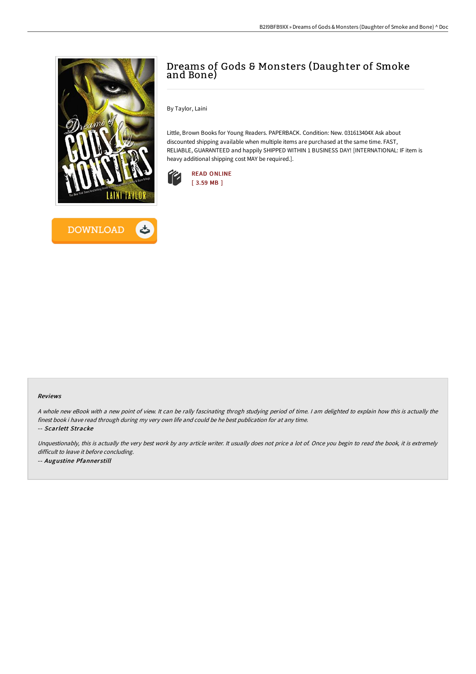



# Dreams of Gods & Monsters (Daughter of Smoke and Bone)

By Taylor, Laini

Little, Brown Books for Young Readers. PAPERBACK. Condition: New. 031613404X Ask about discounted shipping available when multiple items are purchased at the same time. FAST, RELIABLE, GUARANTEED and happily SHIPPED WITHIN 1 BUSINESS DAY! [INTERNATIONAL: IF item is heavy additional shipping cost MAY be required.].



#### Reviews

<sup>A</sup> whole new eBook with <sup>a</sup> new point of view. It can be rally fascinating throgh studying period of time. <sup>I</sup> am delighted to explain how this is actually the finest book i have read through during my very own life and could be he best publication for at any time.

-- Scarlett Stracke

Unquestionably, this is actually the very best work by any article writer. It usually does not price <sup>a</sup> lot of. Once you begin to read the book, it is extremely difficult to leave it before concluding. -- Augustine Pfannerstill